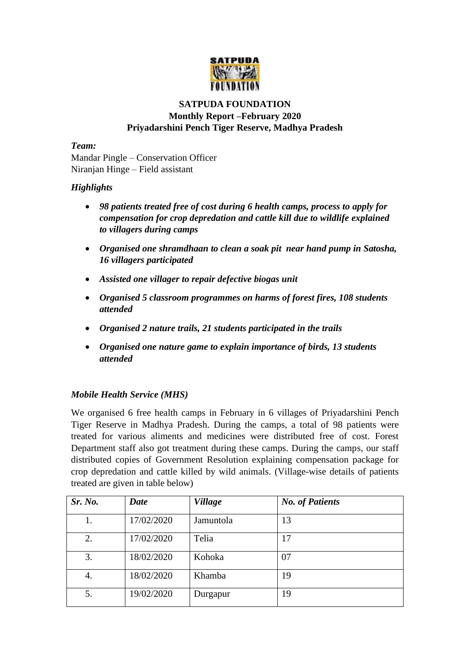

## **SATPUDA FOUNDATION Monthly Report –February 2020 Priyadarshini Pench Tiger Reserve, Madhya Pradesh**

*Team:*  Mandar Pingle – Conservation Officer

Niranjan Hinge – Field assistant

## *Highlights*

- *98 patients treated free of cost during 6 health camps, process to apply for compensation for crop depredation and cattle kill due to wildlife explained to villagers during camps*
- *Organised one shramdhaan to clean a soak pit near hand pump in Satosha, 16 villagers participated*
- *Assisted one villager to repair defective biogas unit*
- *Organised 5 classroom programmes on harms of forest fires, 108 students attended*
- *Organised 2 nature trails, 21 students participated in the trails*
- *Organised one nature game to explain importance of birds, 13 students attended*

# *Mobile Health Service (MHS)*

We organised 6 free health camps in February in 6 villages of Priyadarshini Pench Tiger Reserve in Madhya Pradesh. During the camps, a total of 98 patients were treated for various aliments and medicines were distributed free of cost. Forest Department staff also got treatment during these camps. During the camps, our staff distributed copies of Government Resolution explaining compensation package for crop depredation and cattle killed by wild animals. (Village-wise details of patients treated are given in table below)

| Sr. No. | Date       | <b>Village</b> | <b>No. of Patients</b> |
|---------|------------|----------------|------------------------|
| 1.      | 17/02/2020 | Jamuntola      | 13                     |
| 2.      | 17/02/2020 | Telia          | 17                     |
| 3.      | 18/02/2020 | Kohoka         | 07                     |
| 4.      | 18/02/2020 | Khamba         | 19                     |
| 5.      | 19/02/2020 | Durgapur       | 19                     |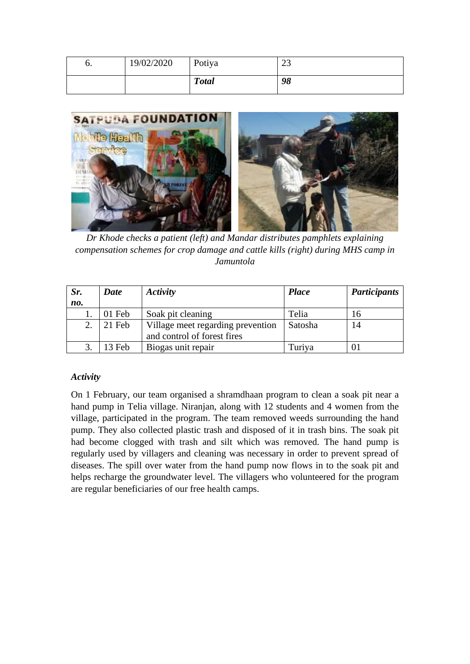| o. | 19/02/2020 | Potiya       | $\cap$<br>رے |
|----|------------|--------------|--------------|
|    |            | <b>Total</b> | 98           |



*Dr Khode checks a patient (left) and Mandar distributes pamphlets explaining compensation schemes for crop damage and cattle kills (right) during MHS camp in Jamuntola*

| Sr. | Activity<br><b>Date</b> |                                                                  | <b>Place</b> | <b>Participants</b> |
|-----|-------------------------|------------------------------------------------------------------|--------------|---------------------|
| no. |                         |                                                                  |              |                     |
|     | 01 Feb                  | Soak pit cleaning                                                | Telia        | Iб                  |
| 2.  | 21 Feb                  | Village meet regarding prevention<br>and control of forest fires | Satosha      | 14                  |
|     | 13 Feb                  | Biogas unit repair                                               | Turiya       | 01                  |

#### *Activity*

On 1 February, our team organised a shramdhaan program to clean a soak pit near a hand pump in Telia village. Niranjan, along with 12 students and 4 women from the village, participated in the program. The team removed weeds surrounding the hand pump. They also collected plastic trash and disposed of it in trash bins. The soak pit had become clogged with trash and silt which was removed. The hand pump is regularly used by villagers and cleaning was necessary in order to prevent spread of diseases. The spill over water from the hand pump now flows in to the soak pit and helps recharge the groundwater level. The villagers who volunteered for the program are regular beneficiaries of our free health camps.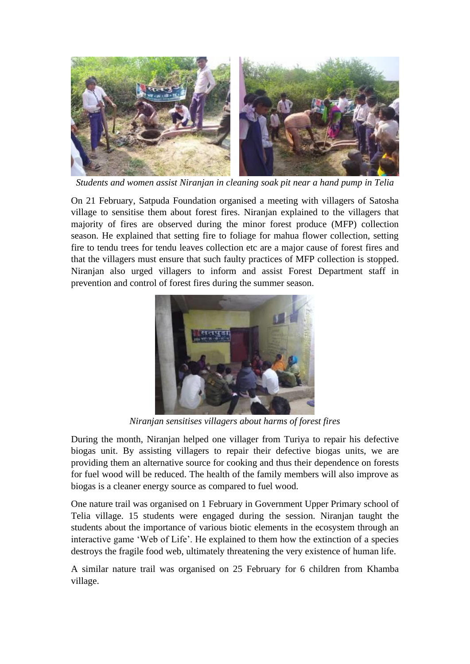

*Students and women assist Niranjan in cleaning soak pit near a hand pump in Telia* 

On 21 February, Satpuda Foundation organised a meeting with villagers of Satosha village to sensitise them about forest fires. Niranjan explained to the villagers that majority of fires are observed during the minor forest produce (MFP) collection season. He explained that setting fire to foliage for mahua flower collection, setting fire to tendu trees for tendu leaves collection etc are a major cause of forest fires and that the villagers must ensure that such faulty practices of MFP collection is stopped. Niranjan also urged villagers to inform and assist Forest Department staff in prevention and control of forest fires during the summer season.



*Niranjan sensitises villagers about harms of forest fires*

During the month, Niranjan helped one villager from Turiya to repair his defective biogas unit. By assisting villagers to repair their defective biogas units, we are providing them an alternative source for cooking and thus their dependence on forests for fuel wood will be reduced. The health of the family members will also improve as biogas is a cleaner energy source as compared to fuel wood.

One nature trail was organised on 1 February in Government Upper Primary school of Telia village. 15 students were engaged during the session. Niranjan taught the students about the importance of various biotic elements in the ecosystem through an interactive game 'Web of Life'. He explained to them how the extinction of a species destroys the fragile food web, ultimately threatening the very existence of human life.

A similar nature trail was organised on 25 February for 6 children from Khamba village.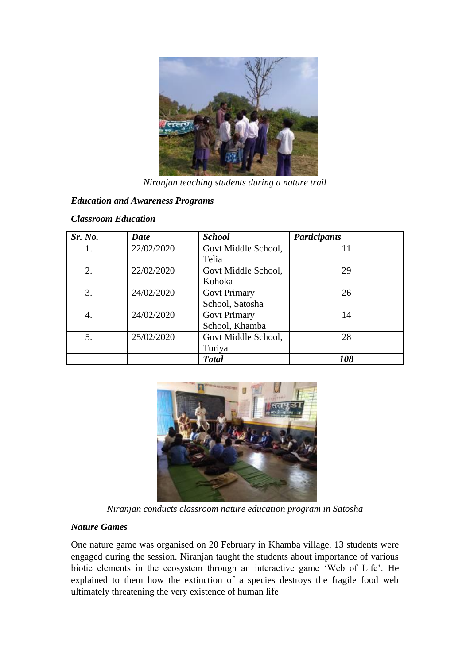

*Niranjan teaching students during a nature trail*

# *Education and Awareness Programs*

#### *Classroom Education*

| Sr. No. | <b>Date</b> | <b>School</b>       | <b>Participants</b> |
|---------|-------------|---------------------|---------------------|
|         | 22/02/2020  | Govt Middle School, | 11                  |
|         |             | Telia               |                     |
| 2.      | 22/02/2020  | Govt Middle School, | 29                  |
|         |             | Kohoka              |                     |
| 3.      | 24/02/2020  | <b>Govt Primary</b> | 26                  |
|         |             | School, Satosha     |                     |
| 4.      | 24/02/2020  | <b>Govt Primary</b> | 14                  |
|         |             | School, Khamba      |                     |
| 5.      | 25/02/2020  | Govt Middle School, | 28                  |
|         |             | Turiya              |                     |
|         |             | <b>Total</b>        | 108                 |



*Niranjan conducts classroom nature education program in Satosha*

#### *Nature Games*

One nature game was organised on 20 February in Khamba village. 13 students were engaged during the session. Niranjan taught the students about importance of various biotic elements in the ecosystem through an interactive game 'Web of Life'. He explained to them how the extinction of a species destroys the fragile food web ultimately threatening the very existence of human life